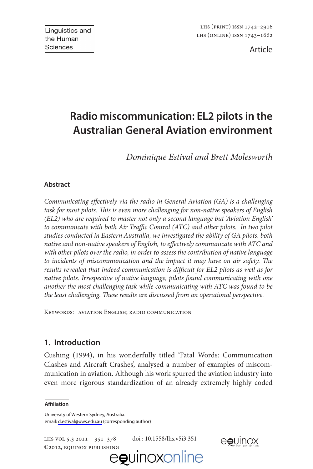### **Radio miscommunication: EL2 pilots in the Australian General Aviation environment**

*Dominique Estival and Brett Molesworth*

#### **Abstract**

*Communicating effectively via the radio in General Aviation (GA) is a challenging task for most pilots. This is even more challenging for non-native speakers of English (EL2) who are required to master not only a second language but 'Aviation English' to communicate with both Air Traffic Control (ATC) and other pilots. In two pilot studies conducted in Eastern Australia, we investigated the ability of GA pilots, both native and non-native speakers of English, to effectively communicate with ATC and with other pilots over the radio, in order to assess the contribution of native language to incidents of miscommunication and the impact it may have on air safety. The results revealed that indeed communication is difficult for EL2 pilots as well as for native pilots. Irrespective of native language, pilots found communicating with one another the most challenging task while communicating with ATC was found to be the least challenging. These results are discussed from an operational perspective.*

Keywords: aviation English; radio communication

#### **1. Introduction**

Cushing (1994), in his wonderfully titled 'Fatal Words: Communication Clashes and Aircraft Crashes', analysed a number of examples of miscommunication in aviation. Although his work spurred the aviation industry into even more rigorous standardization of an already extremely highly coded

#### **Affiliation**

University of Western Sydney, Australia. email: [d.estival@uws.edu.au](mailto:d.estival@uws.edu.au) (corresponding author)

LHS VOL 5.3 2011 351-378

doi : 10.1558/lhs.v5i3.351



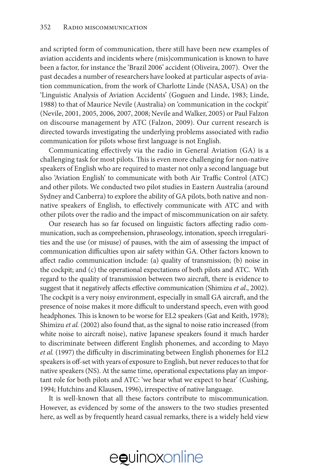and scripted form of communication, there still have been new examples of aviation accidents and incidents where (mis)communication is known to have been a factor, for instance the 'Brazil 2006' accident (Oliveira, 2007). Over the past decades a number of researchers have looked at particular aspects of aviation communication, from the work of Charlotte Linde (NASA, USA) on the 'Linguistic Analysis of Aviation Accidents' (Goguen and Linde, 1983; Linde, 1988) to that of Maurice Nevile (Australia) on 'communication in the cockpit' (Nevile, 2001, 2005, 2006, 2007, 2008; Nevile and Walker, 2005) or Paul Falzon on discourse management by ATC (Falzon, 2009). Our current research is directed towards investigating the underlying problems associated with radio communication for pilots whose first language is not English.

Communicating effectively via the radio in General Aviation (GA) is a challenging task for most pilots. This is even more challenging for non-native speakers of English who are required to master not only a second language but also 'Aviation English' to communicate with both Air Traffic Control (ATC) and other pilots. We conducted two pilot studies in Eastern Australia (around Sydney and Canberra) to explore the ability of GA pilots, both native and nonnative speakers of English, to effectively communicate with ATC and with other pilots over the radio and the impact of miscommunication on air safety.

Our research has so far focused on linguistic factors affecting radio communication, such as comprehension, phraseology, intonation, speech irregularities and the use (or misuse) of pauses, with the aim of assessing the impact of communication difficulties upon air safety within GA. Other factors known to affect radio communication include: (a) quality of transmission; (b) noise in the cockpit; and (c) the operational expectations of both pilots and ATC. With regard to the quality of transmission between two aircraft, there is evidence to suggest that it negatively affects effective communication (Shimizu *et al*., 2002). The cockpit is a very noisy environment, especially in small GA aircraft, and the presence of noise makes it more difficult to understand speech, even with good headphones. This is known to be worse for EL2 speakers (Gat and Keith, 1978); Shimizu *et al.* (2002) also found that, as the signal to noise ratio increased (from white noise to aircraft noise), native Japanese speakers found it much harder to discriminate between different English phonemes, and according to Mayo *et al.* (1997) the difficulty in discriminating between English phonemes for EL2 speakers is off-set with years of exposure to English, but never reduces to that for native speakers (NS). At the same time, operational expectations play an important role for both pilots and ATC: 'we hear what we expect to hear' (Cushing, 1994; Hutchins and Klausen, 1996), irrespective of native language.

It is well-known that all these factors contribute to miscommunication. However, as evidenced by some of the answers to the two studies presented here, as well as by frequently heard casual remarks, there is a widely held view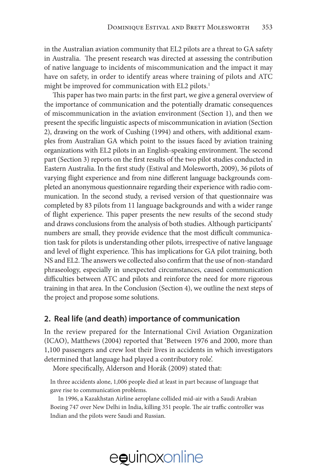in the Australian aviation community that EL2 pilots are a threat to GA safety in Australia. The present research was directed at assessing the contribution of native language to incidents of miscommunication and the impact it may have on safety, in order to identify areas where training of pilots and ATC might be improved for communication with EL2 pilots.<sup>1</sup>

This paper has two main parts: in the first part, we give a general overview of the importance of communication and the potentially dramatic consequences of miscommunication in the aviation environment (Section 1), and then we present the specific linguistic aspects of miscommunication in aviation (Section 2), drawing on the work of Cushing (1994) and others, with additional examples from Australian GA which point to the issues faced by aviation training organizations with EL2 pilots in an English-speaking environment. The second part (Section 3) reports on the first results of the two pilot studies conducted in Eastern Australia. In the first study (Estival and Molesworth, 2009), 36 pilots of varying flight experience and from nine different language backgrounds completed an anonymous questionnaire regarding their experience with radio communication. In the second study, a revised version of that questionnaire was completed by 83 pilots from 11 language backgrounds and with a wider range of flight experience. This paper presents the new results of the second study and draws conclusions from the analysis of both studies. Although participants' numbers are small, they provide evidence that the most difficult communication task for pilots is understanding other pilots, irrespective of native language and level of flight experience. This has implications for GA pilot training, both NS and EL2. The answers we collected also confirm that the use of non-standard phraseology, especially in unexpected circumstances, caused communication difficulties between ATC and pilots and reinforce the need for more rigorous training in that area. In the Conclusion (Section 4), we outline the next steps of the project and propose some solutions.

#### **2. Real life (and death) importance of communication**

In the review prepared for the International Civil Aviation Organization (ICAO), Matthews (2004) reported that 'Between 1976 and 2000, more than 1,100 passengers and crew lost their lives in accidents in which investigators determined that language had played a contributory role'.

More specifically, Alderson and Horák (2009) stated that:

In three accidents alone, 1,006 people died at least in part because of language that gave rise to communication problems.

In 1996, a Kazakhstan Airline aeroplane collided mid-air with a Saudi Arabian Boeing 747 over New Delhi in India, killing 351 people. The air traffic controller was Indian and the pilots were Saudi and Russian.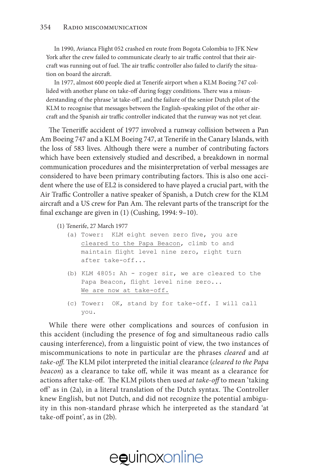#### 354 Radio miscommunication

In 1990, Avianca Flight 052 crashed en route from Bogota Colombia to JFK New York after the crew failed to communicate clearly to air traffic control that their aircraft was running out of fuel. The air traffic controller also failed to clarify the situation on board the aircraft.

In 1977, almost 600 people died at Tenerife airport when a KLM Boeing 747 collided with another plane on take-off during foggy conditions. There was a misunderstanding of the phrase 'at take-off ', and the failure of the senior Dutch pilot of the KLM to recognise that messages between the English-speaking pilot of the other aircraft and the Spanish air traffic controller indicated that the runway was not yet clear.

The Teneriffe accident of 1977 involved a runway collision between a Pan Am Boeing 747 and a KLM Boeing 747, at Tenerife in the Canary Islands, with the loss of 583 lives. Although there were a number of contributing factors which have been extensively studied and described, a breakdown in normal communication procedures and the misinterpretation of verbal messages are considered to have been primary contributing factors. This is also one accident where the use of EL2 is considered to have played a crucial part, with the Air Traffic Controller a native speaker of Spanish, a Dutch crew for the KLM aircraft and a US crew for Pan Am. The relevant parts of the transcript for the final exchange are given in (1) (Cushing, 1994: 9–10).

- (1) Tenerife, 27 March 1977
	- (a) Tower: KLM eight seven zero five, you are cleared to the Papa Beacon, climb to and maintain flight level nine zero, right turn after take-off...
	- (b) KLM 4805: Ah roger sir, we are cleared to the Papa Beacon, flight level nine zero... We are now at take-off.
	- (c) Tower: OK, stand by for take-off. I will call you.

While there were other complications and sources of confusion in this accident (including the presence of fog and simultaneous radio calls causing interference), from a linguistic point of view, the two instances of miscommunications to note in particular are the phrases *cleared* and *at take-off.* The KLM pilot interpreted the initial clearance (*cleared to the Papa beacon*) as a clearance to take off, while it was meant as a clearance for actions after take-off. The KLM pilots then used *at take-off* to mean 'taking off' as in (2a), in a literal translation of the Dutch syntax. The Controller knew English, but not Dutch, and did not recognize the potential ambiguity in this non-standard phrase which he interpreted as the standard 'at take-off point', as in (2b).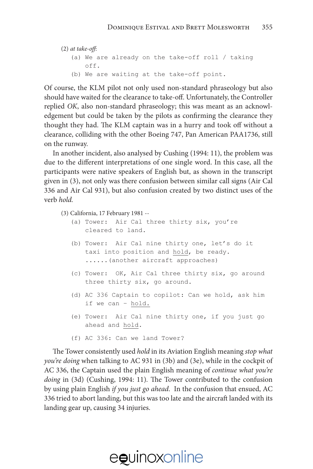(2) *at take-off*: (a) We are already on the take-off roll / taking off. (b) We are waiting at the take-off point.

Of course, the KLM pilot not only used non-standard phraseology but also should have waited for the clearance to take-off. Unfortunately, the Controller replied *OK*, also non-standard phraseology; this was meant as an acknowledgement but could be taken by the pilots as confirming the clearance they thought they had. The KLM captain was in a hurry and took off without a clearance, colliding with the other Boeing 747, Pan American PAA1736, still on the runway.

In another incident, also analysed by Cushing (1994: 11), the problem was due to the different interpretations of one single word. In this case, all the participants were native speakers of English but, as shown in the transcript given in (3), not only was there confusion between similar call signs (Air Cal 336 and Air Cal 931), but also confusion created by two distinct uses of the verb *hold.*

```
(3) California, 17 February 1981 --
  (a) Tower: Air Cal three thirty six, you're
      cleared to land.
  (b) Tower: Air Cal nine thirty one, let's do it
      taxi into position and hold, be ready.
      ...... (another aircraft approaches)
  	 (c)	Tower: OK, Air Cal three thirty six, go around
      three thirty six, go around.
  	 (d)	AC 336 Captain to copilot: Can we hold, ask him
      if we can – hold.
  	 (e)	Tower: Air Cal nine thirty one, if you just go
      ahead and hold.
```
 (f) AC 336: Can we land Tower?

The Tower consistently used *hold* in its Aviation English meaning *stop what you're doing* when talking to AC 931 in (3b) and (3e), while in the cockpit of AC 336, the Captain used the plain English meaning of *continue what you're doing* in (3d) (Cushing, 1994: 11)*.* The Tower contributed to the confusion by using plain English *if you just go ahead*. In the confusion that ensued, AC 336 tried to abort landing, but this was too late and the aircraft landed with its landing gear up, causing 34 injuries.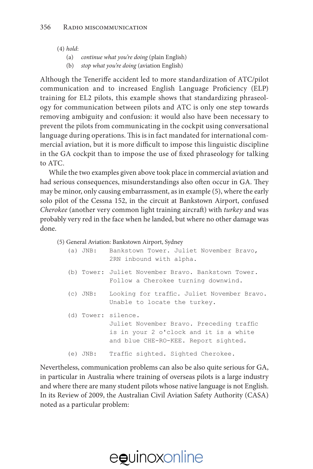(4) *hold*:

- (a) *continue what you're doing* (plain English)
- (b) *stop what you're doing* (aviation English)

Although the Teneriffe accident led to more standardization of ATC/pilot communication and to increased English Language Proficiency (ELP) training for EL2 pilots, this example shows that standardizing phraseology for communication between pilots and ATC is only one step towards removing ambiguity and confusion: it would also have been necessary to prevent the pilots from communicating in the cockpit using conversational language during operations. This is in fact mandated for international commercial aviation, but it is more difficult to impose this linguistic discipline in the GA cockpit than to impose the use of fixed phraseology for talking to ATC.

While the two examples given above took place in commercial aviation and had serious consequences, misunderstandings also often occur in GA. They may be minor, only causing embarrassment, as in example (5), where the early solo pilot of the Cessna 152, in the circuit at Bankstown Airport, confused *Cherokee* (another very common light training aircraft) with *turkey* and was probably very red in the face when he landed, but where no other damage was done.

|            | (5) General Aviation: Bankstown Airport, Sydney                                                                                                   |
|------------|---------------------------------------------------------------------------------------------------------------------------------------------------|
|            | (a) JNB: Bankstown Tower. Juliet November Bravo,<br>2RN inbound with alpha.                                                                       |
|            | (b) Tower: Juliet November Bravo. Bankstown Tower.<br>Follow a Cherokee turning downwind.                                                         |
| $(c)$ JNB: | Looking for traffic. Juliet November Bravo.<br>Unable to locate the turkey.                                                                       |
|            | (d) Tower: silence.<br>Juliet November Bravo. Preceding traffic<br>is in your 2 o'clock and it is a white<br>and blue CHE-RO-KEE. Report sighted. |
| $(e)$ JNB: | Traffic sighted. Sighted Cherokee.                                                                                                                |

Nevertheless, communication problems can also be also quite serious for GA, in particular in Australia where training of overseas pilots is a large industry and where there are many student pilots whose native language is not English. In its Review of 2009, the Australian Civil Aviation Safety Authority (CASA) noted as a particular problem: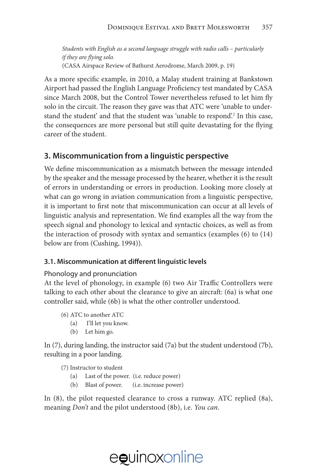*Students with English as a second language struggle with radio calls – particularly if they are flying solo.* (CASA Airspace Review of Bathurst Aerodrome, March 2009, p. 19)

As a more specific example, in 2010, a Malay student training at Bankstown Airport had passed the English Language Proficiency test mandated by CASA since March 2008, but the Control Tower nevertheless refused to let him fly solo in the circuit. The reason they gave was that ATC were 'unable to understand the student' and that the student was 'unable to respond'.<sup>2</sup> In this case, the consequences are more personal but still quite devastating for the flying career of the student.

#### **3. Miscommunication from a linguistic perspective**

We define miscommunication as a mismatch between the message intended by the speaker and the message processed by the hearer, whether it is the result of errors in understanding or errors in production. Looking more closely at what can go wrong in aviation communication from a linguistic perspective, it is important to first note that miscommunication can occur at all levels of linguistic analysis and representation. We find examples all the way from the speech signal and phonology to lexical and syntactic choices, as well as from the interaction of prosody with syntax and semantics (examples (6) to (14) below are from (Cushing, 1994)).

#### **3.1. Miscommunication at different linguistic levels**

#### Phonology and pronunciation

At the level of phonology, in example (6) two Air Traffic Controllers were talking to each other about the clearance to give an aircraft: (6a) is what one controller said, while (6b) is what the other controller understood.

- (6) ATC to another ATC
	- (a) I'll let you know.
	- (b) Let him go.

In (7), during landing, the instructor said (7a) but the student understood (7b), resulting in a poor landing.

(7) Instructor to student

- (a) Last of the power. (i.e. reduce power)
- (b) Blast of power. (i.e. increase power)

In (8), the pilot requested clearance to cross a runway. ATC replied (8a), meaning *Don't* and the pilot understood (8b), i.e. *You can*.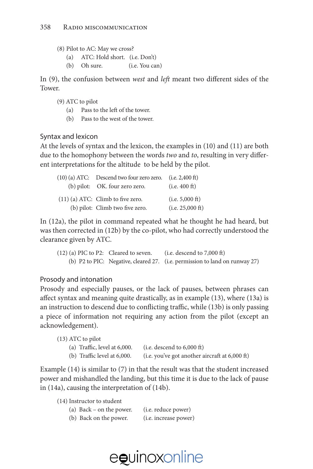- (8) Pilot to AC: May we cross?
	- (a) ATC: Hold short. (i.e. Don't)
	- (b) Oh sure. (i.e. You can)

In (9), the confusion between *west* and *left* meant two different sides of the Tower.

- (9) ATC to pilot
	- (a) Pass to the left of the tower.
	- (b) Pass to the west of the tower.

#### Syntax and lexicon

At the levels of syntax and the lexicon, the examples in (10) and (11) are both due to the homophony between the words *two* and *to*, resulting in very different interpretations for the altitude to be held by the pilot.

| $(10)$ (a) ATC: Descend two four zero zero. | (i.e. 2,400 ft)  |
|---------------------------------------------|------------------|
| (b) pilot: OK. four zero zero.              | (i.e. 400 ft)    |
| $(11)$ (a) ATC: Climb to five zero.         | (i.e. 5,000 ft)  |
| (b) pilot: Climb two five zero.             | (i.e. 25,000 ft) |

In (12a), the pilot in command repeated what he thought he had heard, but was then corrected in (12b) by the co-pilot, who had correctly understood the clearance given by ATC.

(12) (a) PIC to P2: Cleared to seven. (i.e. descend to 7,000 ft) (b) P2 to PIC: Negative, cleared 27. (i.e. permission to land on runway 27)

#### Prosody and intonation

Prosody and especially pauses, or the lack of pauses, between phrases can affect syntax and meaning quite drastically, as in example (13), where (13a) is an instruction to descend due to conflicting traffic, while (13b) is only passing a piece of information not requiring any action from the pilot (except an acknowledgement).

| $(13)$ ATC to pilot             |                                                  |
|---------------------------------|--------------------------------------------------|
| (a) Traffic, level at $6,000$ . | $(i.e.$ descend to $6,000$ ft)                   |
| (b) Traffic level at $6,000$ .  | (i.e. you've got another aircraft at $6,000$ ft) |

Example (14) is similar to (7) in that the result was that the student increased power and mishandled the landing, but this time it is due to the lack of pause in (14a), causing the interpretation of (14b).

(14) Instructor to student

- (a) Back on the power. (i.e. reduce power)
- (b) Back on the power. (i.e. increase power)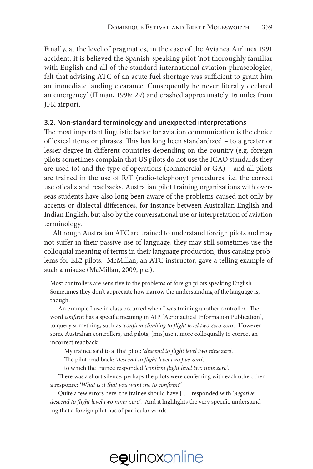Finally, at the level of pragmatics, in the case of the Avianca Airlines 1991 accident, it is believed the Spanish-speaking pilot 'not thoroughly familiar with English and all of the standard international aviation phraseologies, felt that advising ATC of an acute fuel shortage was sufficient to grant him an immediate landing clearance. Consequently he never literally declared an emergency' (Illman, 1998: 29) and crashed approximately 16 miles from JFK airport.

#### **3.2. Non-standard terminology and unexpected interpretations**

The most important linguistic factor for aviation communication is the choice of lexical items or phrases. This has long been standardized – to a greater or lesser degree in different countries depending on the country (e.g. foreign pilots sometimes complain that US pilots do not use the ICAO standards they are used to) and the type of operations (commercial or GA) – and all pilots are trained in the use of R/T (radio-telephony) procedures, i.e. the correct use of calls and readbacks. Australian pilot training organizations with overseas students have also long been aware of the problems caused not only by accents or dialectal differences, for instance between Australian English and Indian English, but also by the conversational use or interpretation of aviation terminology.

Although Australian ATC are trained to understand foreign pilots and may not suffer in their passive use of language, they may still sometimes use the colloquial meaning of terms in their language production, thus causing problems for EL2 pilots. McMillan, an ATC instructor, gave a telling example of such a misuse (McMillan, 2009, p.c.).

Most controllers are sensitive to the problems of foreign pilots speaking English. Sometimes they don't appreciate how narrow the understanding of the language is, though.

An example I use in class occurred when I was training another controller. The word *confirm* has a specific meaning in AIP [Aeronautical Information Publication], to query something, such as '*confirm climbing to flight level two zero zero'*. However some Australian controllers, and pilots, [mis]use it more colloquially to correct an incorrect readback.

My trainee said to a Thai pilot: '*descend to flight level two nine zero'*.

The pilot read back: '*descend to flight level two five zero'*,

to which the trainee responded '*confirm flight level two nine zero'*.

There was a short silence, perhaps the pilots were conferring with each other, then a response: '*What is it that you want me to confirm?'*

Quite a few errors here: the trainee should have […] responded with '*negative, descend to flight level two niner zero'*. And it highlights the very specific understanding that a foreign pilot has of particular words.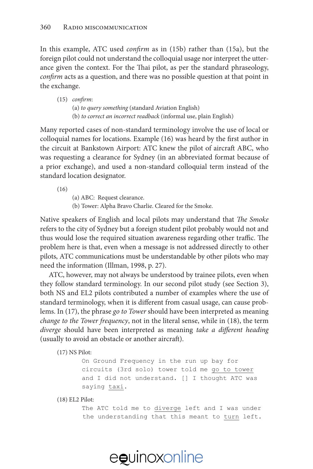In this example, ATC used *confirm* as in (15b) rather than (15a), but the foreign pilot could not understand the colloquial usage nor interpret the utterance given the context. For the Thai pilot, as per the standard phraseology, *confirm* acts as a question, and there was no possible question at that point in the exchange.

(15) *confirm*: (a) *to query something* (standard Aviation English) (b) *to correct an incorrect readback* (informal use, plain English)

Many reported cases of non-standard terminology involve the use of local or colloquial names for locations. Example (16) was heard by the first author in the circuit at Bankstown Airport: ATC knew the pilot of aircraft ABC, who was requesting a clearance for Sydney (in an abbreviated format because of a prior exchange), and used a non-standard colloquial term instead of the standard location designator.

(16)

(a) ABC: Request clearance.

(b) Tower: Alpha Bravo Charlie. Cleared for the Smoke.

Native speakers of English and local pilots may understand that *The Smoke* refers to the city of Sydney but a foreign student pilot probably would not and thus would lose the required situation awareness regarding other traffic. The problem here is that, even when a message is not addressed directly to other pilots, ATC communications must be understandable by other pilots who may need the information (Illman, 1998, p. 27).

ATC, however, may not always be understood by trainee pilots, even when they follow standard terminology. In our second pilot study (see Section 3), both NS and EL2 pilots contributed a number of examples where the use of standard terminology, when it is different from casual usage, can cause problems. In (17), the phrase *go to Tower* should have been interpreted as meaning *change to the Tower frequency*, not in the literal sense, while in (18), the term *diverge* should have been interpreted as meaning *take a different heading* (usually to avoid an obstacle or another aircraft).

(17) NS Pilot:

```
On Ground Frequency in the run up bay for
circuits (3rd solo) tower told me go to tower
and I did not understand. [] I thought ATC was
saying taxi.
```
(18) EL2 Pilot:

The ATC told me to diverge left and I was under the understanding that this meant to turn left.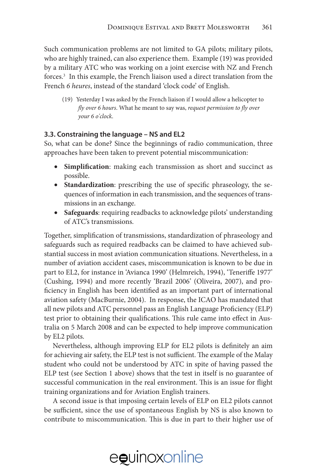Such communication problems are not limited to GA pilots; military pilots, who are highly trained, can also experience them. Example (19) was provided by a military ATC who was working on a joint exercise with NZ and French forces.<sup>3</sup> In this example, the French liaison used a direct translation from the French *6 heures*, instead of the standard 'clock code' of English.

(19) Yesterday I was asked by the French liaison if I would allow a helicopter to *fly over 6 hours*. What he meant to say was, *request permission to fly over your 6 o'clock*.

#### **3.3. Constraining the language – NS and EL2**

So, what can be done? Since the beginnings of radio communication, three approaches have been taken to prevent potential miscommunication:

- **Simplification**: making each transmission as short and succinct as possible.
- **Standardization**: prescribing the use of specific phraseology, the sequences of information in each transmission, and the sequences of transmissions in an exchange.
- • **Safeguards**: requiring readbacks to acknowledge pilots' understanding of ATC's transmissions.

Together, simplification of transmissions, standardization of phraseology and safeguards such as required readbacks can be claimed to have achieved substantial success in most aviation communication situations. Nevertheless, in a number of aviation accident cases, miscommunication is known to be due in part to EL2, for instance in 'Avianca 1990' (Helmreich, 1994), 'Teneriffe 1977' (Cushing, 1994) and more recently 'Brazil 2006' (Oliveira, 2007), and proficiency in English has been identified as an important part of international aviation safety (MacBurnie, 2004). In response, the ICAO has mandated that all new pilots and ATC personnel pass an English Language Proficiency (ELP) test prior to obtaining their qualifications. This rule came into effect in Australia on 5 March 2008 and can be expected to help improve communication by EL2 pilots.

Nevertheless, although improving ELP for EL2 pilots is definitely an aim for achieving air safety, the ELP test is not sufficient. The example of the Malay student who could not be understood by ATC in spite of having passed the ELP test (see Section 1 above) shows that the test in itself is no guarantee of successful communication in the real environment. This is an issue for flight training organizations and for Aviation English trainers.

A second issue is that imposing certain levels of ELP on EL2 pilots cannot be sufficient, since the use of spontaneous English by NS is also known to contribute to miscommunication. This is due in part to their higher use of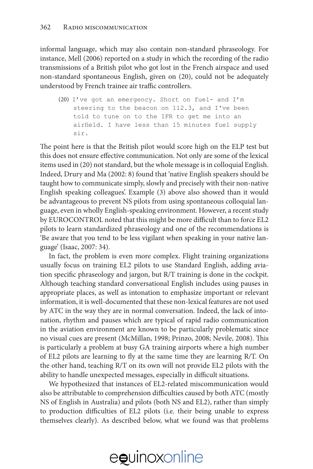informal language, which may also contain non-standard phraseology. For instance, Mell (2006) reported on a study in which the recording of the radio transmissions of a British pilot who got lost in the French airspace and used non-standard spontaneous English, given on (20), could not be adequately understood by French trainee air traffic controllers.

(20) I've got an emergency. Short on fuel- and I'm steering to the beacon on 112.3, and I've been told to tune on to the IFR to get me into an airfield. I have less than 15 minutes fuel supply sir.

The point here is that the British pilot would score high on the ELP test but this does not ensure effective communication. Not only are some of the lexical items used in (20) not standard, but the whole message is in colloquial English. Indeed, Drury and Ma (2002: 8) found that 'native English speakers should be taught how to communicate simply, slowly and precisely with their non-native English speaking colleagues'. Example (3) above also showed than it would be advantageous to prevent NS pilots from using spontaneous colloquial language, even in wholly English-speaking environment. However, a recent study by EUROCONTROL noted that this might be more difficult than to force EL2 pilots to learn standardized phraseology and one of the recommendations is 'Be aware that you tend to be less vigilant when speaking in your native language' (Isaac, 2007: 34).

In fact, the problem is even more complex. Flight training organizations usually focus on training EL2 pilots to use Standard English, adding aviation specific phraseology and jargon, but R/T training is done in the cockpit. Although teaching standard conversational English includes using pauses in appropriate places, as well as intonation to emphasize important or relevant information, it is well-documented that these non-lexical features are not used by ATC in the way they are in normal conversation. Indeed, the lack of intonation, rhythm and pauses which are typical of rapid radio communication in the aviation environment are known to be particularly problematic since no visual cues are present (McMillan, 1998; Prinzo, 2008; Nevile, 2008). This is particularly a problem at busy GA training airports where a high number of EL2 pilots are learning to fly at the same time they are learning R/T. On the other hand, teaching R/T on its own will not provide EL2 pilots with the ability to handle unexpected messages, especially in difficult situations.

We hypothesized that instances of EL2-related miscommunication would also be attributable to comprehension difficulties caused by both ATC (mostly NS of English in Australia) and pilots (both NS and EL2), rather than simply to production difficulties of EL2 pilots (i.e. their being unable to express themselves clearly). As described below, what we found was that problems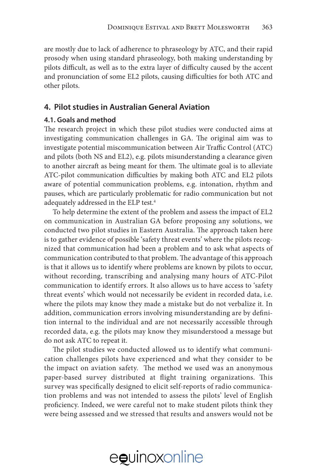are mostly due to lack of adherence to phraseology by ATC, and their rapid prosody when using standard phraseology, both making understanding by pilots difficult, as well as to the extra layer of difficulty caused by the accent and pronunciation of some EL2 pilots, causing difficulties for both ATC and other pilots.

#### **4. Pilot studies in Australian General Aviation**

#### **4.1. Goals and method**

The research project in which these pilot studies were conducted aims at investigating communication challenges in GA. The original aim was to investigate potential miscommunication between Air Traffic Control (ATC) and pilots (both NS and EL2), e.g. pilots misunderstanding a clearance given to another aircraft as being meant for them. The ultimate goal is to alleviate ATC-pilot communication difficulties by making both ATC and EL2 pilots aware of potential communication problems, e.g. intonation, rhythm and pauses, which are particularly problematic for radio communication but not adequately addressed in the ELP test.<sup>4</sup>

To help determine the extent of the problem and assess the impact of EL2 on communication in Australian GA before proposing any solutions, we conducted two pilot studies in Eastern Australia. The approach taken here is to gather evidence of possible 'safety threat events' where the pilots recognized that communication had been a problem and to ask what aspects of communication contributed to that problem. The advantage of this approach is that it allows us to identify where problems are known by pilots to occur, without recording, transcribing and analysing many hours of ATC-Pilot communication to identify errors. It also allows us to have access to 'safety threat events' which would not necessarily be evident in recorded data, i.e. where the pilots may know they made a mistake but do not verbalize it. In addition, communication errors involving misunderstanding are by definition internal to the individual and are not necessarily accessible through recorded data, e.g. the pilots may know they misunderstood a message but do not ask ATC to repeat it.

The pilot studies we conducted allowed us to identify what communication challenges pilots have experienced and what they consider to be the impact on aviation safety. The method we used was an anonymous paper-based survey distributed at flight training organizations. This survey was specifically designed to elicit self-reports of radio communication problems and was not intended to assess the pilots' level of English proficiency. Indeed, we were careful not to make student pilots think they were being assessed and we stressed that results and answers would not be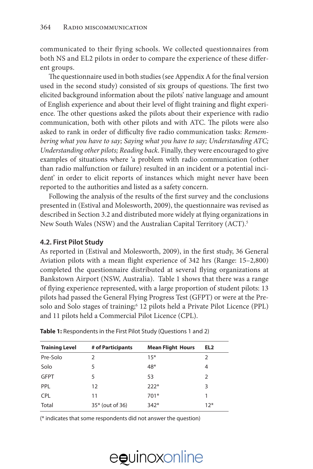communicated to their flying schools. We collected questionnaires from both NS and EL2 pilots in order to compare the experience of these different groups.

The questionnaire used in both studies (see Appendix A for the final version used in the second study) consisted of six groups of questions. The first two elicited background information about the pilots' native language and amount of English experience and about their level of flight training and flight experience. The other questions asked the pilots about their experience with radio communication, both with other pilots and with ATC. The pilots were also asked to rank in order of difficulty five radio communication tasks: *Remembering what you have to say; Saying what you have to say; Understanding ATC; Understanding other pilots; Reading back*. Finally, they were encouraged to give examples of situations where 'a problem with radio communication (other than radio malfunction or failure) resulted in an incident or a potential incident' in order to elicit reports of instances which might never have been reported to the authorities and listed as a safety concern.

Following the analysis of the results of the first survey and the conclusions presented in (Estival and Molesworth, 2009), the questionnaire was revised as described in Section 3.2 and distributed more widely at flying organizations in New South Wales (NSW) and the Australian Capital Territory (ACT).<sup>5</sup>

#### **4.2. First Pilot Study**

As reported in (Estival and Molesworth, 2009), in the first study, 36 General Aviation pilots with a mean flight experience of 342 hrs (Range: 15–2,800) completed the questionnaire distributed at several flying organizations at Bankstown Airport (NSW, Australia). Table 1 shows that there was a range of flying experience represented, with a large proportion of student pilots: 13 pilots had passed the General Flying Progress Test (GFPT) or were at the Presolo and Solo stages of training;<sup>6</sup> 12 pilots held a Private Pilot Licence (PPL) and 11 pilots held a Commercial Pilot Licence (CPL).

| <b>Training Level</b> | # of Participants | <b>Mean Flight Hours</b> | EL <sub>2</sub> |
|-----------------------|-------------------|--------------------------|-----------------|
| Pre-Solo              | フ                 | $15*$                    | 2               |
| Solo                  | 5                 | $48*$                    | 4               |
| <b>GFPT</b>           | 5                 | 53                       | $\mathcal{P}$   |
| PPL                   | 12                | $222*$                   | 3               |
| <b>CPL</b>            | 11                | $701*$                   |                 |
| Total                 | 35* (out of 36)   | $342*$                   | $12*$           |

**Table 1:** Respondents in the First Pilot Study (Questions 1 and 2)

(\* indicates that some respondents did not answer the question)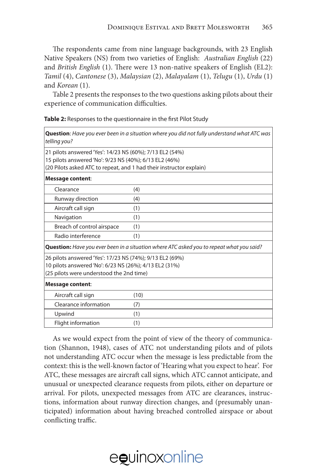The respondents came from nine language backgrounds, with 23 English Native Speakers (NS) from two varieties of English: *Australian English* (22) and *British English* (1). There were 13 non-native speakers of English (EL2): *Tamil* (4), *Cantonese* (3), *Malaysian* (2), *Malayalam* (1), *Telugu* (1), *Urdu* (1) and *Korean* (1).

Table 2 presents the responses to the two questions asking pilots about their experience of communication difficulties.

#### **Table 2:** Responses to the questionnaire in the first Pilot Study

| telling you?                                                                                                                                                   | <b>Question:</b> Have you ever been in a situation where you did not fully understand what ATC was |
|----------------------------------------------------------------------------------------------------------------------------------------------------------------|----------------------------------------------------------------------------------------------------|
| 21 pilots answered 'Yes': 14/23 NS (60%); 7/13 EL2 (54%)<br>15 pilots answered 'No': 9/23 NS (40%); 6/13 EL2 (46%)                                             | (20 Pilots asked ATC to repeat, and 1 had their instructor explain)                                |
| <b>Message content:</b>                                                                                                                                        |                                                                                                    |
| Clearance                                                                                                                                                      | (4)                                                                                                |
| Runway direction                                                                                                                                               | (4)                                                                                                |
| Aircraft call sign                                                                                                                                             | (1)                                                                                                |
| Navigation                                                                                                                                                     | (1)                                                                                                |
| Breach of control airspace                                                                                                                                     | (1)                                                                                                |
| Radio interference                                                                                                                                             | (1)                                                                                                |
|                                                                                                                                                                | <b>Question:</b> Have you ever been in a situation where ATC asked you to repeat what you said?    |
| 26 pilots answered 'Yes': 17/23 NS (74%); 9/13 EL2 (69%)<br>10 pilots answered 'No': 6/23 NS (26%); 4/13 EL2 (31%)<br>(25 pilots were understood the 2nd time) |                                                                                                    |
| <b>Message content:</b>                                                                                                                                        |                                                                                                    |
| Aircraft call sign                                                                                                                                             | (10)                                                                                               |
| Clearance information                                                                                                                                          | (7)                                                                                                |
| Upwind                                                                                                                                                         | (1)                                                                                                |
| Flight information                                                                                                                                             | (1)                                                                                                |

As we would expect from the point of view of the theory of communication (Shannon, 1948), cases of ATC not understanding pilots and of pilots not understanding ATC occur when the message is less predictable from the context: this is the well-known factor of 'Hearing what you expect to hear'. For ATC, these messages are aircraft call signs, which ATC cannot anticipate, and unusual or unexpected clearance requests from pilots, either on departure or arrival. For pilots, unexpected messages from ATC are clearances, instructions, information about runway direction changes, and (presumably unanticipated) information about having breached controlled airspace or about conflicting traffic.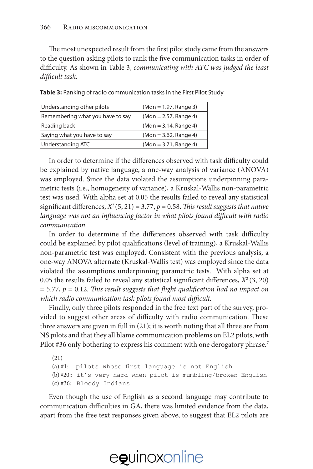The most unexpected result from the first pilot study came from the answers to the question asking pilots to rank the five communication tasks in order of difficulty. As shown in Table 3, *communicating with ATC was judged the least difficult task.*

| Understanding other pilots       | $(Mdn = 1.97, Range 3)$ |
|----------------------------------|-------------------------|
| Remembering what you have to say | $(Mdn = 2.57, Range 4)$ |
| Reading back                     | $(Mdn = 3.14, Range 4)$ |
| Saying what you have to say      | $(Mdn = 3.62, Range 4)$ |
| Understanding ATC                | $(Mdn = 3.71, Range 4)$ |

**Table 3:** Ranking of radio communication tasks in the First Pilot Study

In order to determine if the differences observed with task difficulty could be explained by native language, a one-way analysis of variance (ANOVA) was employed. Since the data violated the assumptions underpinning parametric tests (i.e., homogeneity of variance), a Kruskal-Wallis non-parametric test was used. With alpha set at 0.05 the results failed to reveal any statistical significant differences,  $X^2$ (5, 21) = 3.77,  $p = 0.58$ . *This result suggests that native language was not an influencing factor in what pilots found difficult with radio communication.*

In order to determine if the differences observed with task difficulty could be explained by pilot qualifications (level of training), a Kruskal-Wallis non-parametric test was employed. Consistent with the previous analysis, a one-way ANOVA alternate (Kruskal-Wallis test) was employed since the data violated the assumptions underpinning parametric tests. With alpha set at 0.05 the results failed to reveal any statistical significant differences,  $X^2$  (3, 20) = 5.77, *p* = 0.12. *This result suggests that flight qualification had no impact on which radio communication task pilots found most difficult.*

Finally, only three pilots responded in the free text part of the survey, provided to suggest other areas of difficulty with radio communication. These three answers are given in full in (21); it is worth noting that all three are from NS pilots and that they all blame communication problems on EL2 pilots, with Pilot #36 only bothering to express his comment with one derogatory phrase.*<sup>7</sup>*

```
(21) 
(a) #1: pilots whose first language is not English
(b) #20: it's very hard when pilot is mumbling/broken English
(c) #36: Bloody Indians
```
Even though the use of English as a second language may contribute to communication difficulties in GA, there was limited evidence from the data, apart from the free text responses given above, to suggest that EL2 pilots are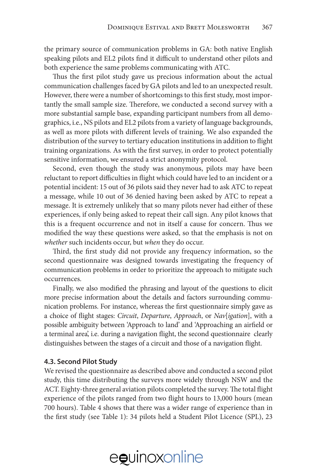the primary source of communication problems in GA: both native English speaking pilots and EL2 pilots find it difficult to understand other pilots and both experience the same problems communicating with ATC.

Thus the first pilot study gave us precious information about the actual communication challenges faced by GA pilots and led to an unexpected result. However, there were a number of shortcomings to this first study, most importantly the small sample size. Therefore, we conducted a second survey with a more substantial sample base, expanding participant numbers from all demographics, i.e., NS pilots and EL2 pilots from a variety of language backgrounds, as well as more pilots with different levels of training. We also expanded the distribution of the survey to tertiary education institutions in addition to flight training organizations. As with the first survey, in order to protect potentially sensitive information, we ensured a strict anonymity protocol.

Second, even though the study was anonymous, pilots may have been reluctant to report difficulties in flight which could have led to an incident or a potential incident: 15 out of 36 pilots said they never had to ask ATC to repeat a message, while 10 out of 36 denied having been asked by ATC to repeat a message. It is extremely unlikely that so many pilots never had either of these experiences, if only being asked to repeat their call sign. Any pilot knows that this is a frequent occurrence and not in itself a cause for concern. Thus we modified the way these questions were asked, so that the emphasis is not on *whether* such incidents occur, but *when* they do occur.

Third, the first study did not provide any frequency information, so the second questionnaire was designed towards investigating the frequency of communication problems in order to prioritize the approach to mitigate such occurrences.

Finally, we also modified the phrasing and layout of the questions to elicit more precise information about the details and factors surrounding communication problems. For instance, whereas the first questionnaire simply gave as a choice of flight stages: *Circuit*, *Departure*, *Approach*, or *Nav*[*igation*], with a possible ambiguity between 'Approach to land' and 'Approaching an airfield or a terminal area', i.e. during a navigation flight, the second questionnaire clearly distinguishes between the stages of a circuit and those of a navigation flight.

#### **4.3. Second Pilot Study**

We revised the questionnaire as described above and conducted a second pilot study, this time distributing the surveys more widely through NSW and the ACT. Eighty-three general aviation pilots completed the survey. The total flight experience of the pilots ranged from two flight hours to 13,000 hours (mean 700 hours). Table 4 shows that there was a wider range of experience than in the first study (see Table 1): 34 pilots held a Student Pilot Licence (SPL), 23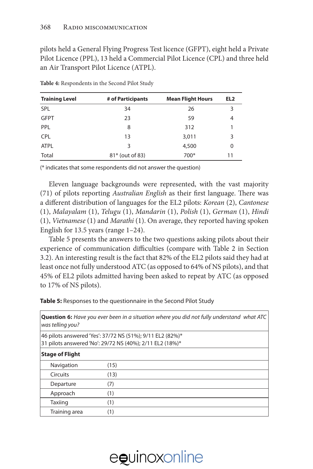pilots held a General Flying Progress Test licence (GFPT), eight held a Private Pilot Licence (PPL), 13 held a Commercial Pilot Licence (CPL) and three held an Air Transport Pilot Licence (ATPL).

| <b>Training Level</b> | # of Participants | <b>Mean Flight Hours</b> | EL <sub>2</sub> |
|-----------------------|-------------------|--------------------------|-----------------|
| <b>SPL</b>            | 34                | 26                       | 3               |
| <b>GFPT</b>           | 23                | 59                       | 4               |
| <b>PPL</b>            | 8                 | 312                      |                 |
| <b>CPL</b>            | 13                | 3,011                    | 3               |
| <b>ATPL</b>           | 3                 | 4,500                    | 0               |
| Total                 | 81* (out of 83)   | $700*$                   | 11              |

**Table 4:** Respondents in the Second Pilot Study

(\* indicates that some respondents did not answer the question)

Eleven language backgrounds were represented, with the vast majority (71) of pilots reporting *Australian English* as their first language. There was a different distribution of languages for the EL2 pilots: *Korean* (2), *Cantonese* (1), *Malayalam* (1), *Telugu* (1), *Mandarin* (1), *Polish* (1), *German* (1), *Hindi* (1), *Vietnamese* (1) and *Marathi* (1). On average, they reported having spoken English for 13.5 years (range 1–24).

Table 5 presents the answers to the two questions asking pilots about their experience of communication difficulties (compare with Table 2 in Section 3.2). An interesting result is the fact that 82% of the EL2 pilots said they had at least once not fully understood ATC (as opposed to 64% of NS pilots), and that 45% of EL2 pilots admitted having been asked to repeat by ATC (as opposed to 17% of NS pilots).

| Question 6: Have you ever been in a situation where you did not fully understand what ATC<br>was telling you?         |      |  |
|-----------------------------------------------------------------------------------------------------------------------|------|--|
| 46 pilots answered 'Yes': 37/72 NS (51%); 9/11 EL2 (82%)*<br>31 pilots answered 'No': 29/72 NS (40%); 2/11 EL2 (18%)* |      |  |
| <b>Stage of Flight</b>                                                                                                |      |  |
| Navigation                                                                                                            | (15) |  |
| <b>Circuits</b>                                                                                                       | (13) |  |
| Departure                                                                                                             | (7)  |  |
| Approach                                                                                                              | (1)  |  |
| Taxiing                                                                                                               | (1)  |  |
| Training area                                                                                                         |      |  |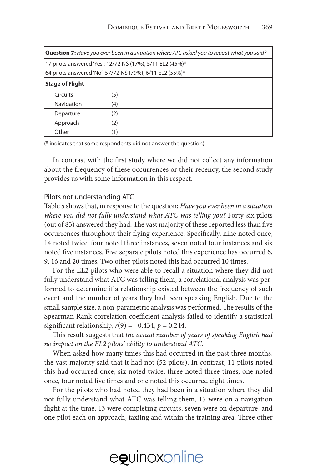| <b>Question 7:</b> Have you ever been in a situation where ATC asked you to repeat what you said? |                  |  |  |
|---------------------------------------------------------------------------------------------------|------------------|--|--|
| 17 pilots answered 'Yes': 12/72 NS (17%); 5/11 EL2 (45%)*                                         |                  |  |  |
| 64 pilots answered 'No': 57/72 NS (79%); 6/11 EL2 (55%)*                                          |                  |  |  |
| <b>Stage of Flight</b>                                                                            |                  |  |  |
| Circuits                                                                                          | (5)              |  |  |
| Navigation                                                                                        | (4)              |  |  |
| Departure                                                                                         | (2)              |  |  |
| Approach                                                                                          | (2)              |  |  |
| Other                                                                                             | $\left(1\right)$ |  |  |

(\* indicates that some respondents did not answer the question)

In contrast with the first study where we did not collect any information about the frequency of these occurrences or their recency, the second study provides us with some information in this respect.

#### Pilots not understanding ATC

Table 5 shows that, in response to the question**:** *Have you ever been in a situation where you did not fully understand what ATC was telling you?* Forty-six pilots (out of 83) answered they had. The vast majority of these reported less than five occurrences throughout their flying experience. Specifically, nine noted once, 14 noted twice, four noted three instances, seven noted four instances and six noted five instances. Five separate pilots noted this experience has occurred 6, 9, 16 and 20 times. Two other pilots noted this had occurred 10 times.

For the EL2 pilots who were able to recall a situation where they did not fully understand what ATC was telling them, a correlational analysis was performed to determine if a relationship existed between the frequency of such event and the number of years they had been speaking English. Due to the small sample size, a non-parametric analysis was performed. The results of the Spearman Rank correlation coefficient analysis failed to identify a statistical significant relationship,  $r(9) = -0.434$ ,  $p = 0.244$ .

This result suggests that *the actual number of years of speaking English had no impact on the EL2 pilots' ability to understand ATC*.

When asked how many times this had occurred in the past three months, the vast majority said that it had not (52 pilots). In contrast, 11 pilots noted this had occurred once, six noted twice, three noted three times, one noted once, four noted five times and one noted this occurred eight times.

For the pilots who had noted they had been in a situation where they did not fully understand what ATC was telling them, 15 were on a navigation flight at the time, 13 were completing circuits, seven were on departure, and one pilot each on approach, taxiing and within the training area. Three other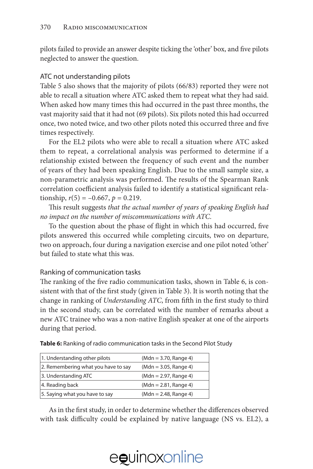pilots failed to provide an answer despite ticking the 'other' box, and five pilots neglected to answer the question.

#### ATC not understanding pilots

Table 5 also shows that the majority of pilots (66/83) reported they were not able to recall a situation where ATC asked them to repeat what they had said. When asked how many times this had occurred in the past three months, the vast majority said that it had not (69 pilots). Six pilots noted this had occurred once, two noted twice, and two other pilots noted this occurred three and five times respectively.

For the EL2 pilots who were able to recall a situation where ATC asked them to repeat, a correlational analysis was performed to determine if a relationship existed between the frequency of such event and the number of years of they had been speaking English. Due to the small sample size, a non-parametric analysis was performed. The results of the Spearman Rank correlation coefficient analysis failed to identify a statistical significant relationship,  $r(5) = -0.667$ ,  $p = 0.219$ .

This result suggests *that the actual number of years of speaking English had no impact on the number of miscommunications with ATC*.

To the question about the phase of flight in which this had occurred, five pilots answered this occurred while completing circuits, two on departure, two on approach, four during a navigation exercise and one pilot noted 'other' but failed to state what this was.

#### Ranking of communication tasks

The ranking of the five radio communication tasks, shown in Table 6, is consistent with that of the first study (given in Table 3). It is worth noting that the change in ranking of *Understanding ATC*, from fifth in the first study to third in the second study, can be correlated with the number of remarks about a new ATC trainee who was a non-native English speaker at one of the airports during that period.

| 1. Understanding other pilots       | $(Mdn = 3.70, Range 4)$ |
|-------------------------------------|-------------------------|
| 2. Remembering what you have to say | $(Mdn = 3.05, Range 4)$ |
| 3. Understanding ATC                | $(Mdn = 2.97, Range 4)$ |
| 4. Reading back                     | $(Mdn = 2.81, Range 4)$ |
| 5. Saying what you have to say      | $(Mdn = 2.48, Range 4)$ |

**Table 6:** Ranking of radio communication tasks in the Second Pilot Study

As in the first study, in order to determine whether the differences observed with task difficulty could be explained by native language (NS vs. EL2), a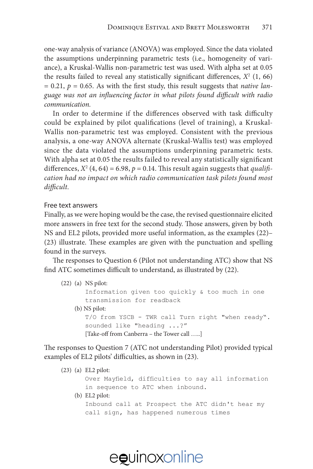one-way analysis of variance (ANOVA) was employed. Since the data violated the assumptions underpinning parametric tests (i.e., homogeneity of variance), a Kruskal-Wallis non-parametric test was used. With alpha set at 0.05 the results failed to reveal any statistically significant differences,  $X^2$  (1, 66)  $= 0.21$ ,  $p = 0.65$ . As with the first study, this result suggests that *native language was not an influencing factor in what pilots found difficult with radio communication.*

In order to determine if the differences observed with task difficulty could be explained by pilot qualifications (level of training), a Kruskal-Wallis non-parametric test was employed. Consistent with the previous analysis, a one-way ANOVA alternate (Kruskal-Wallis test) was employed since the data violated the assumptions underpinning parametric tests. With alpha set at 0.05 the results failed to reveal any statistically significant differences,  $X^2$  (4, 64) = 6.98,  $p = 0.14$ . This result again suggests that *qualification had no impact on which radio communication task pilots found most difficult.* 

#### Free text answers

Finally, as we were hoping would be the case, the revised questionnaire elicited more answers in free text for the second study. Those answers, given by both NS and EL2 pilots, provided more useful information, as the examples (22)– (23) illustrate. These examples are given with the punctuation and spelling found in the surveys.

The responses to Question 6 (Pilot not understanding ATC) show that NS find ATC sometimes difficult to understand, as illustrated by (22).

|  | $(22)$ (a) NS pilot:                              |
|--|---------------------------------------------------|
|  | Information given too quickly & too much in one   |
|  | transmission for readback                         |
|  | $(b)$ NS pilot:                                   |
|  | T/O from YSCB - TWR call Turn right "when ready". |
|  | sounded like "heading ?"                          |
|  | [Take-off from Canberra – the Tower call ]        |
|  |                                                   |

The responses to Question 7 (ATC not understanding Pilot) provided typical examples of EL2 pilots' difficulties, as shown in (23).

- (23) (a) EL2 pilot: Over Mayfield, difficulties to say all information in sequence to ATC when inbound.
	- (b) EL2 pilot: Inbound call at Prospect the ATC didn't hear my call sign, has happened numerous times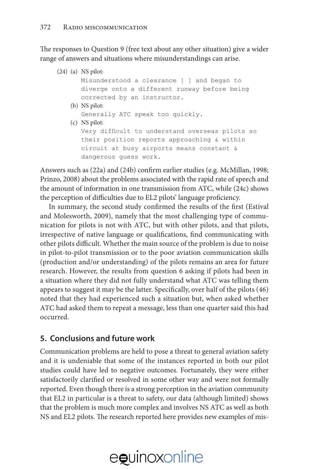The responses to Question 9 (free text about any other situation) give a wider range of answers and situations where misunderstandings can arise.

(24) (a) NS pilot: Misunderstood a clearance [ ] and began to diverge onto a different runway before being corrected by an instructor. (b) NS pilot: Generally ATC speak too quickly. (c) NS pilot: Very difficult to understand overseas pilots so their position reports approaching & within circuit at busy airports means constant & dangerous guess work.

Answers such as (22a) and (24b) confirm earlier studies (e.g. McMillan, 1998; Prinzo, 2008) about the problems associated with the rapid rate of speech and the amount of information in one transmission from ATC, while (24c) shows the perception of difficulties due to EL2 pilots' language proficiency.

In summary, the second study confirmed the results of the first (Estival and Molesworth, 2009), namely that the most challenging type of communication for pilots is not with ATC, but with other pilots, and that pilots, irrespective of native language or qualifications, find communicating with other pilots difficult. Whether the main source of the problem is due to noise in pilot-to-pilot transmission or to the poor aviation communication skills (production and/or understanding) of the pilots remains an area for future research. However, the results from question 6 asking if pilots had been in a situation where they did not fully understand what ATC was telling them appears to suggest it may be the latter. Specifically, over half of the pilots (46) noted that they had experienced such a situation but, when asked whether ATC had asked them to repeat a message, less than one quarter said this had occurred.

#### **5. Conclusions and future work**

Communication problems are held to pose a threat to general aviation safety and it is undeniable that some of the instances reported in both our pilot studies could have led to negative outcomes. Fortunately, they were either satisfactorily clarified or resolved in some other way and were not formally reported. Even though there is a strong perception in the aviation community that EL2 in particular is a threat to safety, our data (although limited) shows that the problem is much more complex and involves NS ATC as well as both NS and EL2 pilots. The research reported here provides new examples of mis-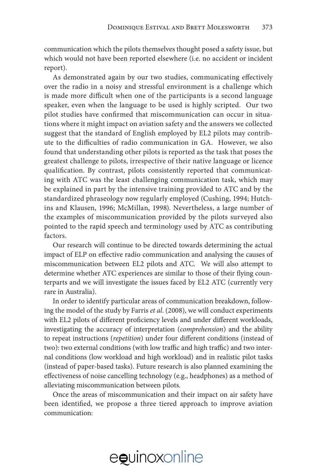communication which the pilots themselves thought posed a safety issue, but which would not have been reported elsewhere (i.e. no accident or incident report).

As demonstrated again by our two studies, communicating effectively over the radio in a noisy and stressful environment is a challenge which is made more difficult when one of the participants is a second language speaker, even when the language to be used is highly scripted. Our two pilot studies have confirmed that miscommunication can occur in situations where it might impact on aviation safety and the answers we collected suggest that the standard of English employed by EL2 pilots may contribute to the difficulties of radio communication in GA. However, we also found that understanding other pilots is reported as the task that poses the greatest challenge to pilots, irrespective of their native language or licence qualification. By contrast, pilots consistently reported that communicating with ATC was the least challenging communication task, which may be explained in part by the intensive training provided to ATC and by the standardized phraseology now regularly employed (Cushing, 1994; Hutchins and Klausen, 1996; McMillan, 1998). Nevertheless, a large number of the examples of miscommunication provided by the pilots surveyed also pointed to the rapid speech and terminology used by ATC as contributing factors.

Our research will continue to be directed towards determining the actual impact of ELP on effective radio communication and analysing the causes of miscommunication between EL2 pilots and ATC. We will also attempt to determine whether ATC experiences are similar to those of their flying counterparts and we will investigate the issues faced by EL2 ATC (currently very rare in Australia).

In order to identify particular areas of communication breakdown, following the model of the study by Farris *et al*. (2008), we will conduct experiments with EL2 pilots of different proficiency levels and under different workloads, investigating the accuracy of interpretation (*comprehension*) and the ability to repeat instructions (*repetition*) under four different conditions (instead of two): two external conditions (with low traffic and high traffic) and two internal conditions (low workload and high workload) and in realistic pilot tasks (instead of paper-based tasks). Future research is also planned examining the effectiveness of noise cancelling technology (e.g., headphones) as a method of alleviating miscommunication between pilots.

Once the areas of miscommunication and their impact on air safety have been identified, we propose a three tiered approach to improve aviation communication: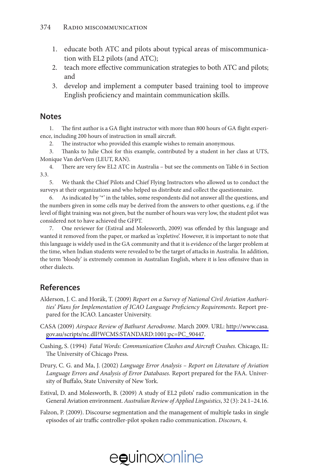- 1. educate both ATC and pilots about typical areas of miscommunication with EL2 pilots (and ATC);
- 2. teach more effective communication strategies to both ATC and pilots; and
- 3. develop and implement a computer based training tool to improve English proficiency and maintain communication skills.

#### **Notes**

1. The first author is a GA flight instructor with more than 800 hours of GA flight experience, including 200 hours of instruction in small aircraft.

The instructor who provided this example wishes to remain anonymous.

3. Thanks to Julie Choi for this example, contributed by a student in her class at UTS, Monique Van derVeen (LEUT, RAN).

4. There are very few EL2 ATC in Australia – but see the comments on Table 6 in Section 3.3.

5. We thank the Chief Pilots and Chief Flying Instructors who allowed us to conduct the surveys at their organizations and who helped us distribute and collect the questionnaire.

As indicated by '\*' in the tables, some respondents did not answer all the questions, and the numbers given in some cells may be derived from the answers to other questions, e.g. if the level of flight training was not given, but the number of hours was very low, the student pilot was considered not to have achieved the GFPT.

7. One reviewer for (Estival and Molesworth, 2009) was offended by this language and wanted it removed from the paper, or marked as 'expletive'. However, it is important to note that this language is widely used in the GA community and that it is evidence of the larger problem at the time, when Indian students were revealed to be the target of attacks in Australia. In addition, the term 'bloody' is extremely common in Australian English, where it is less offensive than in other dialects.

#### **References**

- Alderson, J. C. and Horák, T. (2009) *Report on a Survey of National Civil Aviation Authorities' Plans for Implementation of ICAO Language Proficiency Requirements*. Report prepared for the ICAO. Lancaster University.
- CASA (2009) *Airspace Review of Bathurst Aerodrome*. March 2009. URL: [http://www.casa.](http://www.casa.gov.au/scripts/nc.dll?WCMS:STANDARD:1001:pc=PC_90447) [gov.au/scripts/nc.dll?WCMS:STANDARD:1001:pc=PC\\_90447.](http://www.casa.gov.au/scripts/nc.dll?WCMS:STANDARD:1001:pc=PC_90447)

Cushing, S. (1994) *Fatal Words: Communication Clashes and Aircraft Crashes.* Chicago, IL: The University of Chicago Press.

- Drury, C. G. and Ma, J. (2002) *Language Error Analysis Report on Literature of Aviation Language Errors and Analysis of Error Databases.* Report prepared for the FAA. University of Buffalo, State University of New York.
- Estival, D. and Molesworth, B. (2009) A study of EL2 pilots' radio communication in the General Aviation environment. *Australian Review of Applied Linguistics*, 32 (3): 24.1–24.16.
- Falzon, P. (2009). Discourse segmentation and the management of multiple tasks in single episodes of air traffic controller-pilot spoken radio communication. *Discours*, 4.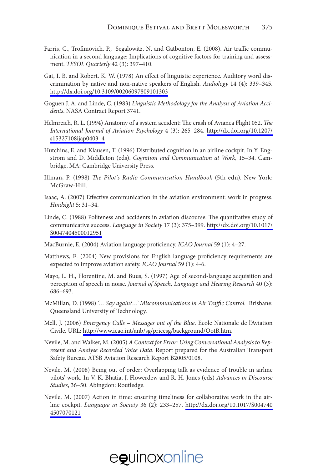- Farris, C., Trofimovich, P., Segalowitz, N. and Gatbonton, E. (2008). Air traffic communication in a second language: Implications of cognitive factors for training and assessment. *TESOL Quarterly* 42 (3): 397–410.
- Gat, I. B. and Robert. K. W. (1978) An effect of linguistic experience. Auditory word discrimination by native and non-native speakers of English. *Audiology* 14 (4): 339–345. <http://dx.doi.org/10.3109/00206097809101303>
- Goguen J. A. and Linde, C. (1983) *Linguistic Methodology for the Analysis of Aviation Accidents*. NASA Contract Report 3741.
- Helmreich, R. L. (1994) Anatomy of a system accident: The crash of Avianca Flight 052. *The International Journal of Aviation Psychology* 4 (3): 265–284. [http://dx.doi.org/10.1207/](http://dx.doi.org/10.1207/s15327108ijap0403_4) [s15327108ijap0403\\_4](http://dx.doi.org/10.1207/s15327108ijap0403_4)
- Hutchins, E. and Klausen, T. (1996) Distributed cognition in an airline cockpit. In Y. Engström and D. Middleton (eds). *Cognition and Communication at Work,* 15–34. Cambridge, MA: Cambridge University Press.
- Illman, P. (1998) *The Pilot's Radio Communication Handbook* (5th edn). New York: McGraw-Hill.
- Isaac, A. (2007) Effective communication in the aviation environment: work in progress. *Hindsight* 5: 31–34.
- Linde, C. (1988) Politeness and accidents in aviation discourse: The quantitative study of communicative success. *Language in Society* 17 (3): 375–399. [http://dx.doi.org/10.1017/](http://dx.doi.org/10.1017/S0047404500012951) [S0047404500012951](http://dx.doi.org/10.1017/S0047404500012951)
- MacBurnie, E. (2004) Aviation language proficiency. *ICAO Journal* 59 (1): 4–27.
- Matthews, E. (2004) New provisions for English language proficiency requirements are expected to improve aviation safety. *ICAO Journal* 59 (1): 4-6.
- Mayo, L. H., Florentine, M. and Buus, S. (1997) Age of second-language acquisition and perception of speech in noise. *Journal of Speech, Language and Hearing Research* 40 (3): 686–693.
- McMillan, D. (1998) *'… Say again?…' Miscommunications in Air Traffic Control.* Brisbane: Queensland University of Technology.
- Mell, J. (2006) *Emergency Calls Messages out of the Blue*. Ecole Nationale de l'Aviation Civile. URL: [http://www.icao.int/anb/sg/pricesg/background/OotB.htm.](http://www.icao.int/anb/sg/pricesg/background/OotB.htm)
- Nevile, M. and Walker, M. (2005) *A Context for Error: Using Conversational Analysis to Represent and Analyse Recorded Voice Data*. Report prepared for the Australian Transport Safety Bureau. ATSB Aviation Research Report B2005/0108.
- Nevile, M. (2008) Being out of order: Overlapping talk as evidence of trouble in airline pilots' work. In V. K. Bhatia, J. Flowerdew and R. H. Jones (eds) *Advances in Discourse Studies*, 36–50. Abingdon: Routledge.
- Nevile, M. (2007) Action in time: ensuring timeliness for collaborative work in the airline cockpit. *Language in Society* 36 (2): 233–257. [http://dx.doi.org/10.1017/S004740](http://dx.doi.org/10.1017/S0047404507070121) [4507070121](http://dx.doi.org/10.1017/S0047404507070121)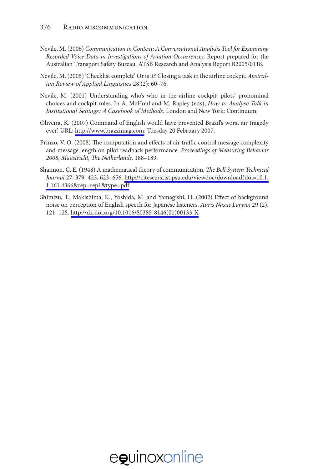- Nevile, M. (2006) *Communication in Context: A Conversational Analysis Tool for Examining Recorded Voice Data in Investigations of Aviation Occurrences*. Report prepared for the Australian Transport Safety Bureau. ATSB Research and Analysis Report B2005/0118.
- Nevile, M. (2005) 'Checklist complete' Or is it? Closing a task in the airline cockpit. *Australian Review of Applied Linguistics* 28 (2): 60–76.
- Nevile, M. (2001) Understanding who's who in the airline cockpit: pilots' pronominal choices and cockpit roles. In A. McHoul and M. Rapley (eds), *How to Analyse Talk in Institutional Settings: A Casebook of Methods*. London and New York: Continuum.
- Oliveira, K. (2007) Command of English would have prevented Brazil's worst air tragedy ever'. URL: [http://www.brazzimag.com.](http://www.brazzimag.com) Tuesday 20 February 2007.
- Prinzo, V. O. (2008) The computation and effects of air traffic control message complexity and message length on pilot readback performance. *Proceedings of Measuring Behavior 2008, Maastricht, The Netherlands,* 188–189.
- Shannon, C. E. (1948) A mathematical theory of communication. *The Bell System Technical Journal* 27: 379–423, 623–656. [http://citeseerx.ist.psu.edu/viewdoc/download?doi=10.1.](http://citeseerx.ist.psu.edu/viewdoc/download?doi=10.1.1.161.4366&rep=rep1&type=pdf) [1.161.4366&rep=rep1&type=pdf](http://citeseerx.ist.psu.edu/viewdoc/download?doi=10.1.1.161.4366&rep=rep1&type=pdf)
- Shimizu, T., Makishima, K., Yoshida, M. and Yamagishi, H. (2002) Effect of background noise on perception of English speech for Japanese listeners. *Auris Nasus Larynx* 29 (2)*,* 121–125. [http://dx.doi.org/10.1016/S0385-8146\(01\)00133-X](http://dx.doi.org/10.1016/S0385-8146%2801%2900133-X)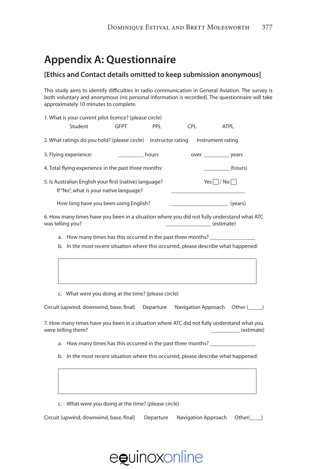#### **Appendix A: Questionnaire**

#### **[Ethics and Contact details omitted to keep submission anonymous]**

This study aims to identify difficulties in radio communication in General Aviation. The survey is both voluntary and anonymous (no personal information is recorded). The questionnaire will take approximately 10 minutes to complete.

1. What is your current pilot licence? (please circle)

|                                                                                                  | Student                                      | GFPT | PPI               | CPL          | <b>ATPL</b>       |  |
|--------------------------------------------------------------------------------------------------|----------------------------------------------|------|-------------------|--------------|-------------------|--|
|                                                                                                  | 2. What ratings do you hold? (please circle) |      | Instructor rating |              | Instrument rating |  |
|                                                                                                  | 3. Flying experience:                        |      | hours             |              | years             |  |
| 4. Total flying experience in the past three months:                                             |                                              |      |                   |              | (hours)           |  |
| 5. Is Australian English your first (native) language?<br>If "No", what is your native language? |                                              |      |                   | Yesl I/Nol I |                   |  |
|                                                                                                  | How long have you been using English?        |      |                   |              | (vears)           |  |

6. How many times have you been in a situation where you did not fully understand what ATC was telling you? example a set of the set of the set of the set of the set of the set of the set of the set of the set of the set of the set of the set of the set of the set of the set of the set of the set of the set of t

- a. How many times has this occurred in the past three months?
- b. In the most recent situation where this occurred, please describe what happened:
- c. What were you doing at the time? (please circle)

|  | Circuit (upwind, downwind, base, final) Departure Navigation Approach Other ( |  |  |  |  |
|--|-------------------------------------------------------------------------------|--|--|--|--|
|--|-------------------------------------------------------------------------------|--|--|--|--|

7. How many times have you been in a situation where ATC did not fully understand what you were telling them?  $($ estimate)

- a. How many times has this occurred in the past three months?
- b. In the most recent situation where this occurred, please describe what happened:

c. What were you doing at the time? (please circle)

| Circuit (upwind, downwind, base, final) |  | Departure Navigation Approach Other( |  |  |
|-----------------------------------------|--|--------------------------------------|--|--|
|-----------------------------------------|--|--------------------------------------|--|--|